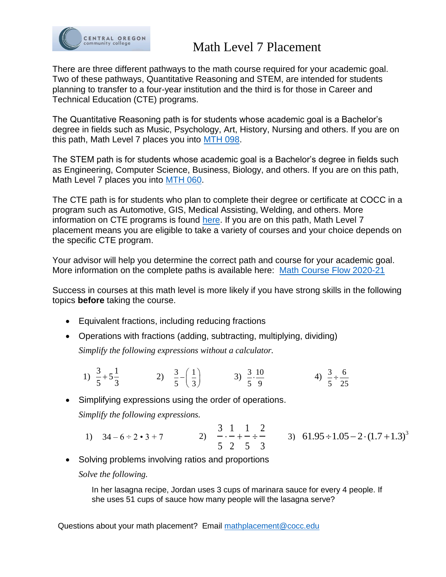

## Math Level 7 Placement

There are three different pathways to the math course required for your academic goal. Two of these pathways, Quantitative Reasoning and STEM, are intended for students planning to transfer to a four-year institution and the third is for those in Career and Technical Education (CTE) programs.

The Quantitative Reasoning path is for students whose academic goal is a Bachelor's degree in fields such as Music, Psychology, Art, History, Nursing and others. If you are on this path, Math Level 7 places you into [MTH 098.](https://catalog.cocc.edu/course-outlines/mth-098/)

The STEM path is for students whose academic goal is a Bachelor's degree in fields such as Engineering, Computer Science, Business, Biology, and others. If you are on this path, Math Level 7 places you into [MTH 060.](https://catalog.cocc.edu/course-outlines/mth-060/)

The CTE path is for students who plan to complete their degree or certificate at COCC in a program such as Automotive, GIS, Medical Assisting, Welding, and others. More information on CTE programs is found [here.](https://catalog.cocc.edu/programs/) If you are on this path, Math Level 7 placement means you are eligible to take a variety of courses and your choice depends on the specific CTE program.

Your advisor will help you determine the correct path and course for your academic goal. More information on the complete paths is available here: Math Course [Flow 2020-21](https://www.cocc.edu/departments/math/files/math_paths_flow_2020_21.pdf)

Success in courses at this math level is more likely if you have strong skills in the following topics **before** taking the course.

- Equivalent fractions, including reducing fractions
- Operations with fractions (adding, subtracting, multiplying, dividing)

*Simplify the following expressions without a calculator.*

1)  $\frac{3}{7} + 5\frac{1}{7}$ 5 3  $+5\frac{1}{2}$  2)  $\frac{3}{2} - \left(\frac{1}{2}\right)$ 5 \ 3  $-\left(\frac{1}{3}\right)$  3)  $\frac{3}{5} \cdot \frac{10}{9}$ 5 9  $\frac{10}{10}$  4) 3 6 5 25  $\div$ 

• Simplifying expressions using the order of operations. *Simplify the following expressions.*

- 3 1 1 2 5 2 5 3 1) 34 – 6 ÷ 2 • 3 + 7 2) + 3) 3  $61.95 \div 1.05 - 2 \cdot (1.7 + 1.3)$
- Solving problems involving ratios and proportions

*Solve the following.*

In her lasagna recipe, Jordan uses 3 cups of marinara sauce for every 4 people. If she uses 51 cups of sauce how many people will the lasagna serve?